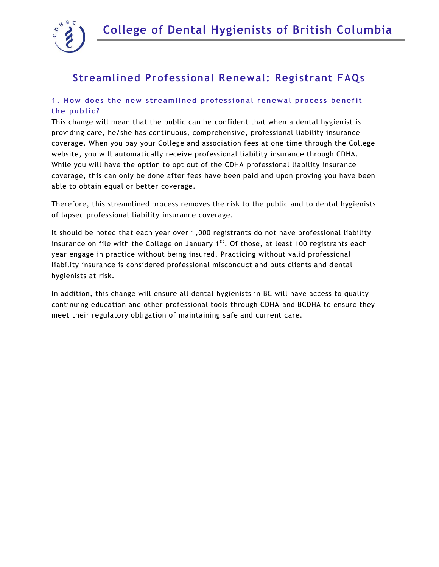

# **Streamlined Professional Renewal: Registrant FAQs**

## 1. How does the new streamlined professional renewal process benefit **t h e p u b li c?**

This change will mean that the public can be confident that when a dental hygienist is providing care, he/she has continuous, comprehensive, professional liability insurance coverage. When you pay your College and association fees at one time through the College website, you will automatically receive professional liability insurance through CDHA. While you will have the option to opt out of the CDHA professional liability insurance coverage, this can only be done after fees have been paid and upon proving you have been able to obtain equal or better coverage.

Therefore, this streamlined process removes the risk to the public and to dental hygienists of lapsed professional liability insurance coverage.

It should be noted that each year over 1,000 registrants do not have professional liability insurance on file with the College on January  $1<sup>st</sup>$ . Of those, at least 100 registrants each year engage in practice without being insured. Practicing without valid professional liability insurance is considered professional misconduct and puts clients and d ental hygienists at risk.

In addition, this change will ensure all dental hygienists in BC will have access to quality continuing education and other professional tools through CDHA and BCDHA to ensure they meet their regulatory obligation of maintaining safe and current care.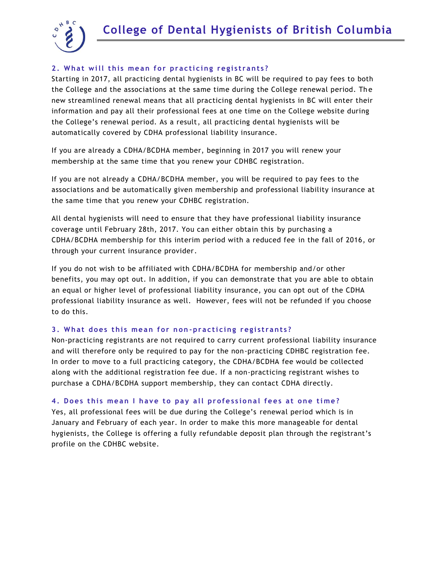

## **2. What will this mean for practicing registrants?**

Starting in 2017, all practicing dental hygienists in BC will be required to pay fees to both the College and the associations at the same time during the College renewal period. The new streamlined renewal means that all practicing dental hygienists in BC will enter their information and pay all their professional fees at one time on the College website during the College's renewal period. As a result, all practicing dental hygienists will be automatically covered by CDHA professional liability insurance.

If you are already a CDHA/BCDHA member, beginning in 2017 you will renew your membership at the same time that you renew your CDHBC registration.

If you are not already a CDHA/BCDHA member, you will be required to pay fees to the associations and be automatically given membership and professional liability insurance at the same time that you renew your CDHBC registration.

All dental hygienists will need to ensure that they have professional liability insurance coverage until February 28th, 2017. You can either obtain this by purchasing a CDHA/BCDHA membership for this interim period with a reduced fee in the fall of 2016, or through your current insurance provider.

If you do not wish to be affiliated with CDHA/BCDHA for membership and/or other benefits, you may opt out. In addition, if you can demonstrate that you are able to obtain an equal or higher level of professional liability insurance, you can opt out of the CDHA professional liability insurance as well. However, fees will not be refunded if you choose to do this.

#### **3. What does this mean for non-practicing registrants?**

Non-practicing registrants are not required to carry current professional liability insurance and will therefore only be required to pay for the non-practicing CDHBC registration fee. In order to move to a full practicing category, the CDHA/BCDHA fee would be collected along with the additional registration fee due. If a non-practicing registrant wishes to purchase a CDHA/BCDHA support membership, they can contact CDHA directly.

#### 4. Does this mean I have to pay all professional fees at one time?

Yes, all professional fees will be due during the College's renewal period which is in January and February of each year. In order to make this more manageable for dental hygienists, the College is offering a fully refundable deposit plan through the registrant's profile on the CDHBC website.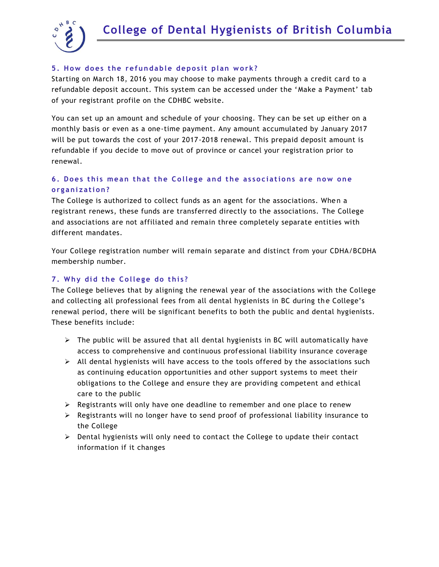



#### **5. How does the refundable deposit plan work?**

Starting on March 18, 2016 you may choose to make payments through a credit card to a refundable deposit account. This system can be accessed under the 'Make a Payment' tab of your registrant profile on the CDHBC website.

You can set up an amount and schedule of your choosing. They can be set up either on a monthly basis or even as a one-time payment. Any amount accumulated by January 2017 will be put towards the cost of your 2017-2018 renewal. This prepaid deposit amount is refundable if you decide to move out of province or cancel your registration prior to renewal.

# 6. Does this mean that the College and the associations are now one **o rg a ni za ti o n ?**

The College is authorized to collect funds as an agent for the associations. When a registrant renews, these funds are transferred directly to the associations. The College and associations are not affiliated and remain three completely separate entities with different mandates.

Your College registration number will remain separate and distinct from your CDHA/BCDHA membership number.

#### **7. Why did the College do this?**

The College believes that by aligning the renewal year of the associations with the College and collecting all professional fees from all dental hygienists in BC during the College's renewal period, there will be significant benefits to both the public and dental hygienists. These benefits include:

- $\triangleright$  The public will be assured that all dental hygienists in BC will automatically have access to comprehensive and continuous professional liability insurance coverage
- $\triangleright$  All dental hygienists will have access to the tools offered by the associations such as continuing education opportunities and other support systems to meet their obligations to the College and ensure they are providing competent and ethical care to the public
- $\triangleright$  Registrants will only have one deadline to remember and one place to renew
- $\triangleright$  Registrants will no longer have to send proof of professional liability insurance to the College
- $\triangleright$  Dental hygienists will only need to contact the College to update their contact information if it changes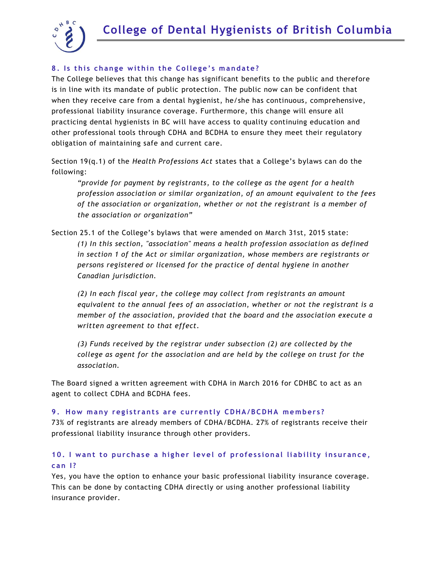

## 8. Is this change within the College's mandate?

The College believes that this change has significant benefits to the public and therefore is in line with its mandate of public protection. The public now can be confident that when they receive care from a dental hygienist, he/she has continuous, comprehensive, professional liability insurance coverage. Furthermore, this change will ensure all practicing dental hygienists in BC will have access to quality continuing education and other professional tools through CDHA and BCDHA to ensure they meet their regulatory obligation of maintaining safe and current care.

Section 19(q.1) of the *Health Professions Act* states that a College's bylaws can do the following:

*"provide for payment by registrants, to the college as the agent for a health profession association or similar organization, of an amount equivalent to the fees of the association or organization, whether or not the registrant is a member of the association or organization"*

Section 25.1 of the College's bylaws that were amended on March 31st, 2015 state: *(1) In this section, "association" means a health profession association as defined in section 1 of the Act or similar organization, whose members are registrants or persons registered or licensed for the practice of dental hygiene in another Canadian jurisdiction.*

*(2) In each fiscal year, the college may collect from registrants an amount equivalent to the annual fees of an association, whether or not the registrant is a member of the association, provided that the board and the association execute a written agreement to that effect.*

*(3) Funds received by the registrar under subsection (2) are collected by the college as agent for the association and are held by the college on trust for the association.*

The Board signed a written agreement with CDHA in March 2016 for CDHBC to act as an agent to collect CDHA and BCDHA fees.

#### **9. How many registrants are currently CDHA/BCDHA members?**

73% of registrants are already members of CDHA/BCDHA. 27% of registrants receive their professional liability insurance through other providers.

## 10. I want to purchase a higher level of professional liability insurance, **can** 1?

Yes, you have the option to enhance your basic professional liability insurance coverage. This can be done by contacting CDHA directly or using another professional liability insurance provider.